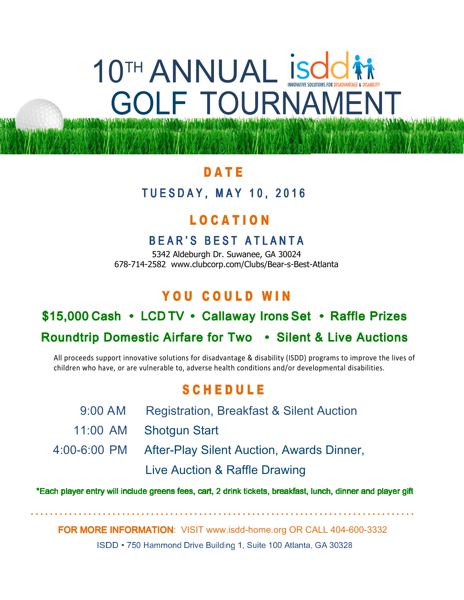# 10TH ANNUAL Isdc LF TOURNAMENT

# **DATE**

I ķ

#### **TUESDAY, MAY 10, 2016** Ĩ

# L O C A T I O N

### BEAR'S BEST ATLANTA

5342 Aldeburgh Dr. Suwanee, GA 30024 678-714-2582 www.clubcorp.com/Clubs/Bear-s-Best-Atlanta

# YOU COULD WIN

# \$15,000 Cash • LCD TV • Callaway Irons Set • Raffle Prizes

# Roundtrip Domestic Airfare for Two • Silent & Live Auctions

All proceeds support innovative solutions for disadvantage & disability (ISDD) programs to improve the lives of children who have, or are vulnerable to, adverse health conditions and/or developmental disabilities.

# S C H E D U L E

 9:00 AM Registration, Breakfast & Silent Auction 11:00 AM Shotgun Start 4:00-6:00 PM After-Play Silent Auction, Awards Dinner, Live Auction & Raffle Drawing

\*Each player entry will include greens fees, cart, 2 drink tickets, breakfast, lunch, dinner and player gift

FOR MORE INFORMATION: VISIT www.isdd-home.org OR CALL 404-600-3332

................................................................................

ISDD • 750 Hammond Drive Building 1, Suite 100 Atlanta, GA 30328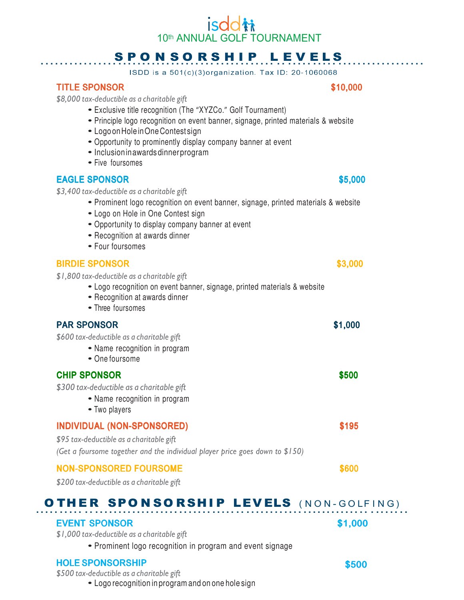## *isddti* 10th ANNUAL GOLF TOURNAMENT

# SPONSORSHIP LEVELS

ISDD is a 501(c)(3)organization. Tax ID: 20-1060068

#### TITLE SPONSOR SALES STOLEN STOLEN STOLEN STOLEN STOLEN STOLEN STOLEN STOLEN STOLEN STOLEN STOLEN STOLEN STOLEN STOLEN STOLEN STOLEN STOLEN STOLEN STOLEN STOLEN STOLEN STOLEN STOLEN STOLEN STOLEN STOLEN STOLEN STOLEN STOLEN

\$8,000 tax-deductible as a charitable gift

- Exclusive title recognition (The "XYZCo." Golf Tournament)
- Principle logo recognition on event banner, signage, printed materials & website
- Logo on Hole in One Contest sign
- Opportunity to prominently display company banner at event
- Inclusion in awards dinner program
- Five foursomes

#### EAGLE SPONSOR SUPERINT STRUCK STRUCK STRUCK STRUCK STRUCK STRUCK STRUCK STRUCK STRUCK STRUCK STRUCK STRUCK STRUCK STRUCK STRUCK STRUCK STRUCK STRUCK STRUCK STRUCK STRUCK STRUCK STRUCK STRUCK STRUCK STRUCK STRUCK STRUCK STR

\$3,400 tax-deductible as a charitable gift

- Prominent logo recognition on event banner, signage, printed materials & website
- Logo on Hole in One Contest sign
- Opportunity to display company banner at event
- Recognition at awards dinner
- Four foursomes

#### BIRDIE SPONSOR SERIES SON SERIES SON SERIES SON SERIES SON SERIES SON SERIES SON SERIES SON SERIES SON SERIES S

\$1,800 tax-deductible as a charitable gift

- Logo recognition on event banner, signage, printed materials & website
- Recognition at awards dinner
- Three foursomes

#### PAR SPONSOR \$1,000

\$600 tax-deductible as a charitable gift

- Name recognition in program
- One foursome

#### **CHIP SPONSOR SEQUENT SPONSOR** SPONSOR

\$300 tax-deductible as a charitable gift

- Name recognition in program
- Two players

#### INDIVIDUAL (NON-SPONSORED) \$195

\$95 tax-deductible as a charitable gift

(Get a foursome together and the individual player price goes down to \$150)

#### NON-SPONSORED FOURSOME SECOND SECOND SECOND SECOND SECOND SECOND SECOND SECOND SECOND SECOND SECOND SECOND SECOND SECOND SECOND SECOND SECOND SECOND SECOND SECOND SECOND SECOND SECOND SECOND SECOND SECOND SECOND SECOND SEC

\$200 tax-deductible as a charitable gift

#### .. OTHER SPONSORSHIP LEVELS (NON-GOLFING)

#### EVENT SPONSOR SPONSOR \$1,000

\$1,000 tax-deductible as a charitable gift

• Prominent logo recognition in program and event signage

### HOLE SPONSORSHIP SPONSORSHIP

\$500 tax-deductible as a charitable gift

• Logo recognition in program and on one hole sign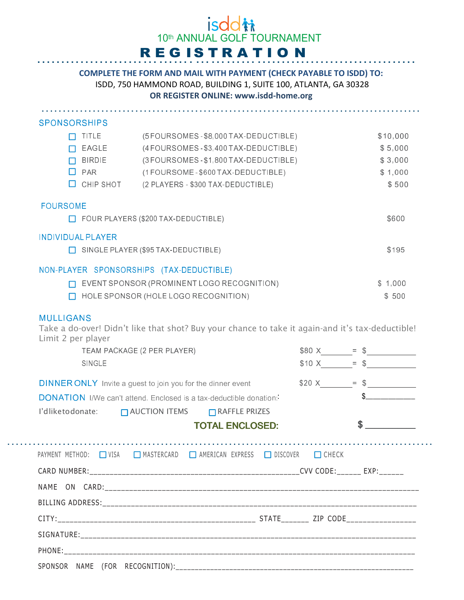#### *isddti* 10th ANNUAL GOLF TOURNAMENT REGISTRATIO N.........................

#### COMPLETE THE FORM AND MAIL WITH PAYMENT (CHECK PAYABLE TO ISDD) TO: ISDD, 750 HAMMOND ROAD, BUILDING 1, SUITE 100, ATLANTA, GA 30328 OR REGISTER ONLINE: www.isdd-home.org

......................................................................................... **SPONSORSHIPS** TITLE (5 FOURSOMES - \$8,000 TAX-DEDUCTIBLE) \$10,000 EAGLE (4 FOURSOMES - \$3,400 TAX-DEDUCTIBLE) \$ 5,000 BIRDIE (3 FOURSOMES - \$1,800 TAX-DEDUCTIBLE) \$ 3,000  $\Box$  PAR (1 FOURSOME - \$600 TAX-DEDUCTIBLE) \$ 1,000 CHIP SHOT (2 PLAYERS - \$300 TAX-DEDUCTIBLE) \$500 FOURSOME FOUR PLAYERS (\$200 TAX-DEDUCTIBLE) \$600 INDIVIDUAL PLAYER SINGLE PLAYER (\$95 TAX-DEDUCTIBLE) \$195 NON-PLAYER SPONSORSHIPS (TAX-DEDUCTIBLE) EVENT SPONSOR (PROMINENT LOGO RECOGNITION) \$ 1,000 HOLE SPONSOR (HOLE LOGO RECOGNITION) \$500

#### **MULLIGANS**

......................

Take a do-over! Didn't like that shot? Buy your chance to take it again-and it's tax-deductible! Limit 2 per player

| TEAM PACKAGE (2 PER PLAYER)                                               | $$80 X = $$ |              |
|---------------------------------------------------------------------------|-------------|--------------|
| SINGLE                                                                    |             | $$10 X = $$  |
| <b>DINNER ONLY</b> Invite a guest to join you for the dinner event        |             | $$20 X$ = \$ |
| <b>DONATION</b> I/We can't attend. Enclosed is a tax-deductible donation: |             | $\mathbb{S}$ |
| I'dliketodonate: □ AUCTION ITEMS □ RAFFLE PRIZES                          |             |              |
| <b>TOTAL ENCLOSED:</b>                                                    |             |              |
|                                                                           |             |              |
| PAYMENT METHOD: □ VISA □ MASTERCARD □ AMERICAN EXPRESS □ DISCOVER □ CHECK |             |              |
|                                                                           |             |              |
|                                                                           |             |              |
|                                                                           |             |              |
|                                                                           |             |              |
|                                                                           |             |              |
|                                                                           |             |              |
|                                                                           |             |              |